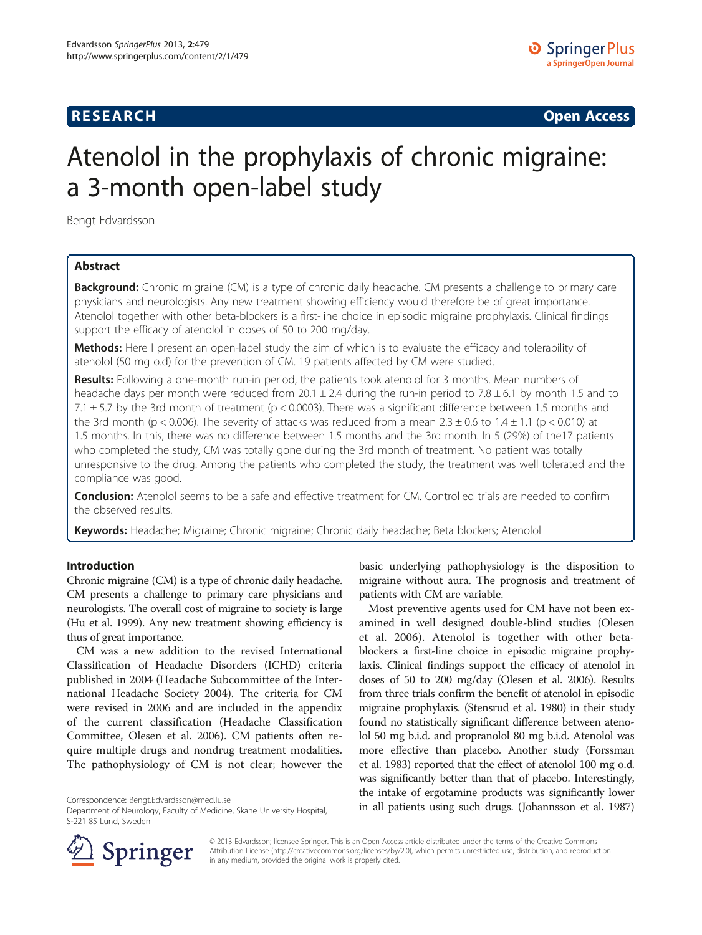## **RESEARCH CHINESE ARCH CHINESE ARCH CHINESE ARCH <b>CHINESE ARCH**

# Atenolol in the prophylaxis of chronic migraine: a 3-month open-label study

Bengt Edvardsson

## Abstract

Background: Chronic migraine (CM) is a type of chronic daily headache. CM presents a challenge to primary care physicians and neurologists. Any new treatment showing efficiency would therefore be of great importance. Atenolol together with other beta-blockers is a first-line choice in episodic migraine prophylaxis. Clinical findings support the efficacy of atenolol in doses of 50 to 200 mg/day.

Methods: Here I present an open-label study the aim of which is to evaluate the efficacy and tolerability of atenolol (50 mg o.d) for the prevention of CM. 19 patients affected by CM were studied.

Results: Following a one-month run-in period, the patients took atenolol for 3 months. Mean numbers of headache days per month were reduced from  $20.1 \pm 2.4$  during the run-in period to 7.8  $\pm$  6.1 by month 1.5 and to 7.1  $\pm$  5.7 by the 3rd month of treatment (p < 0.0003). There was a significant difference between 1.5 months and the 3rd month (p < 0.006). The severity of attacks was reduced from a mean  $2.3 \pm 0.6$  to  $1.4 \pm 1.1$  (p < 0.010) at 1.5 months. In this, there was no difference between 1.5 months and the 3rd month. In 5 (29%) of the17 patients who completed the study, CM was totally gone during the 3rd month of treatment. No patient was totally unresponsive to the drug. Among the patients who completed the study, the treatment was well tolerated and the compliance was good.

Conclusion: Atenolol seems to be a safe and effective treatment for CM. Controlled trials are needed to confirm the observed results.

Keywords: Headache; Migraine; Chronic migraine; Chronic daily headache; Beta blockers; Atenolol

## Introduction

Chronic migraine (CM) is a type of chronic daily headache. CM presents a challenge to primary care physicians and neurologists. The overall cost of migraine to society is large (Hu et al. [1999\)](#page-3-0). Any new treatment showing efficiency is thus of great importance.

CM was a new addition to the revised International Classification of Headache Disorders (ICHD) criteria published in 2004 (Headache Subcommittee of the International Headache Society [2004](#page-3-0)). The criteria for CM were revised in 2006 and are included in the appendix of the current classification (Headache Classification Committee, Olesen et al. [2006\)](#page-3-0). CM patients often require multiple drugs and nondrug treatment modalities. The pathophysiology of CM is not clear; however the

basic underlying pathophysiology is the disposition to migraine without aura. The prognosis and treatment of patients with CM are variable.

Most preventive agents used for CM have not been examined in well designed double-blind studies (Olesen et al. [2006\)](#page-4-0). Atenolol is together with other betablockers a first-line choice in episodic migraine prophylaxis. Clinical findings support the efficacy of atenolol in doses of 50 to 200 mg/day (Olesen et al. [2006\)](#page-4-0). Results from three trials confirm the benefit of atenolol in episodic migraine prophylaxis. (Stensrud et al. [1980\)](#page-4-0) in their study found no statistically significant difference between atenolol 50 mg b.i.d. and propranolol 80 mg b.i.d. Atenolol was more effective than placebo. Another study (Forssman et al. [1983\)](#page-3-0) reported that the effect of atenolol 100 mg o.d. was significantly better than that of placebo. Interestingly, the intake of ergotamine products was significantly lower Correspondence: [Bengt.Edvardsson@med.lu.se](mailto:Bengt.Edvardsson@med.lu.se) enterprise using the drugs of engough the produces was significantly fower<br>Department of Neurology Faculty of Medicine Skape University Hospital in all patients using such drugs.



© 2013 Edvardsson; licensee Springer. This is an Open Access article distributed under the terms of the Creative Commons Attribution License [\(http://creativecommons.org/licenses/by/2.0\)](http://creativecommons.org/licenses/by/2.0), which permits unrestricted use, distribution, and reproduction in any medium, provided the original work is properly cited.

Department of Neurology, Faculty of Medicine, Skane University Hospital, S-221 85 Lund, Sweden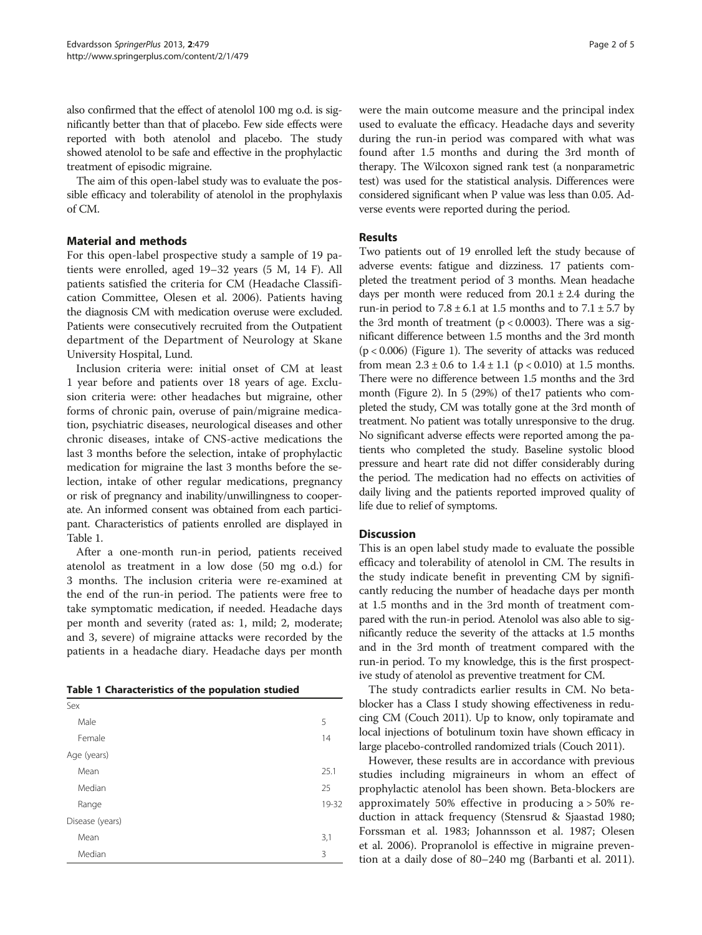also confirmed that the effect of atenolol 100 mg o.d. is significantly better than that of placebo. Few side effects were reported with both atenolol and placebo. The study showed atenolol to be safe and effective in the prophylactic treatment of episodic migraine.

The aim of this open-label study was to evaluate the possible efficacy and tolerability of atenolol in the prophylaxis of CM.

## Material and methods

For this open-label prospective study a sample of 19 patients were enrolled, aged 19–32 years (5 M, 14 F). All patients satisfied the criteria for CM (Headache Classification Committee, Olesen et al. [2006\)](#page-3-0). Patients having the diagnosis CM with medication overuse were excluded. Patients were consecutively recruited from the Outpatient department of the Department of Neurology at Skane University Hospital, Lund.

Inclusion criteria were: initial onset of CM at least 1 year before and patients over 18 years of age. Exclusion criteria were: other headaches but migraine, other forms of chronic pain, overuse of pain/migraine medication, psychiatric diseases, neurological diseases and other chronic diseases, intake of CNS-active medications the last 3 months before the selection, intake of prophylactic medication for migraine the last 3 months before the selection, intake of other regular medications, pregnancy or risk of pregnancy and inability/unwillingness to cooperate. An informed consent was obtained from each participant. Characteristics of patients enrolled are displayed in Table 1.

After a one-month run-in period, patients received atenolol as treatment in a low dose (50 mg o.d.) for 3 months. The inclusion criteria were re-examined at the end of the run-in period. The patients were free to take symptomatic medication, if needed. Headache days per month and severity (rated as: 1, mild; 2, moderate; and 3, severe) of migraine attacks were recorded by the patients in a headache diary. Headache days per month

| Table 1 Characteristics of the population studied |  |
|---------------------------------------------------|--|
|---------------------------------------------------|--|

| Sex             |        |       |  |
|-----------------|--------|-------|--|
| Male            |        | 5     |  |
|                 | Female | 14    |  |
| Age (years)     |        |       |  |
|                 | Mean   | 25.1  |  |
|                 | Median | 25    |  |
|                 | Range  | 19-32 |  |
| Disease (years) |        |       |  |
|                 | Mean   | 3,1   |  |
|                 | Median | 3     |  |

were the main outcome measure and the principal index used to evaluate the efficacy. Headache days and severity during the run-in period was compared with what was found after 1.5 months and during the 3rd month of therapy. The Wilcoxon signed rank test (a nonparametric test) was used for the statistical analysis. Differences were considered significant when P value was less than 0.05. Adverse events were reported during the period.

## Results

Two patients out of 19 enrolled left the study because of adverse events: fatigue and dizziness. 17 patients completed the treatment period of 3 months. Mean headache days per month were reduced from  $20.1 \pm 2.4$  during the run-in period to  $7.8 \pm 6.1$  at 1.5 months and to  $7.1 \pm 5.7$  by the 3rd month of treatment ( $p < 0.0003$ ). There was a significant difference between 1.5 months and the 3rd month  $(p < 0.006)$  (Figure [1\)](#page-2-0). The severity of attacks was reduced from mean  $2.3 \pm 0.6$  to  $1.4 \pm 1.1$  (p < 0.010) at 1.5 months. There were no difference between 1.5 months and the 3rd month (Figure [2](#page-2-0)). In 5 (29%) of the17 patients who completed the study, CM was totally gone at the 3rd month of treatment. No patient was totally unresponsive to the drug. No significant adverse effects were reported among the patients who completed the study. Baseline systolic blood pressure and heart rate did not differ considerably during the period. The medication had no effects on activities of daily living and the patients reported improved quality of life due to relief of symptoms.

#### Discussion

This is an open label study made to evaluate the possible efficacy and tolerability of atenolol in CM. The results in the study indicate benefit in preventing CM by significantly reducing the number of headache days per month at 1.5 months and in the 3rd month of treatment compared with the run-in period. Atenolol was also able to significantly reduce the severity of the attacks at 1.5 months and in the 3rd month of treatment compared with the run-in period. To my knowledge, this is the first prospective study of atenolol as preventive treatment for CM.

The study contradicts earlier results in CM. No betablocker has a Class I study showing effectiveness in reducing CM (Couch [2011\)](#page-3-0). Up to know, only topiramate and local injections of botulinum toxin have shown efficacy in large placebo-controlled randomized trials (Couch [2011\)](#page-3-0).

However, these results are in accordance with previous studies including migraineurs in whom an effect of prophylactic atenolol has been shown. Beta-blockers are approximately 50% effective in producing a > 50% reduction in attack frequency (Stensrud & Sjaastad [1980](#page-4-0); Forssman et al. [1983](#page-3-0); Johannsson et al. [1987;](#page-3-0) Olesen et al. [2006](#page-4-0)). Propranolol is effective in migraine prevention at a daily dose of 80–240 mg (Barbanti et al. [2011](#page-3-0)).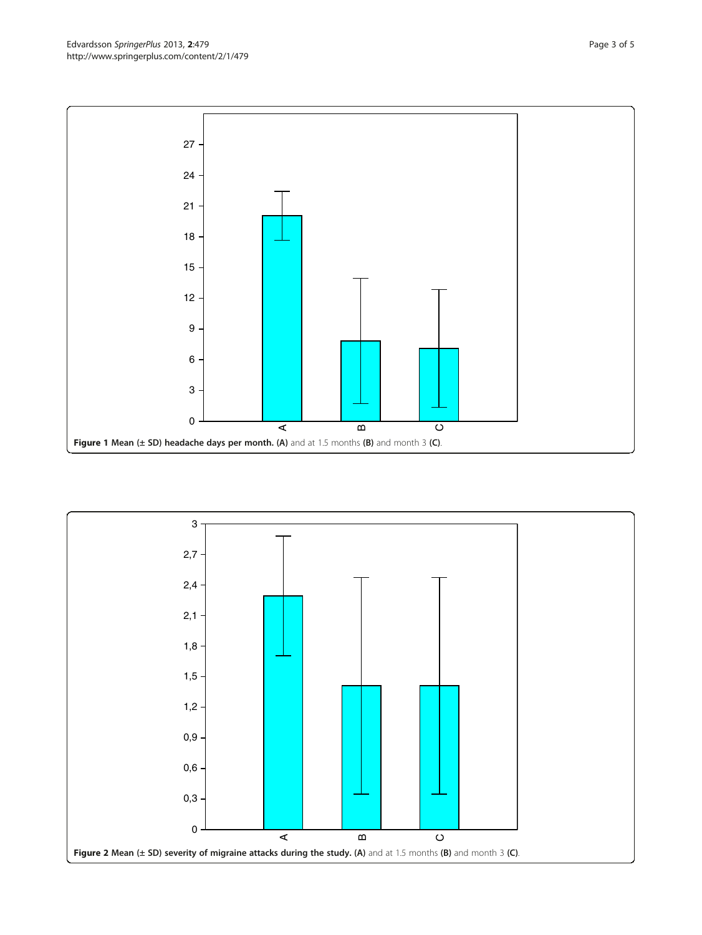<span id="page-2-0"></span>

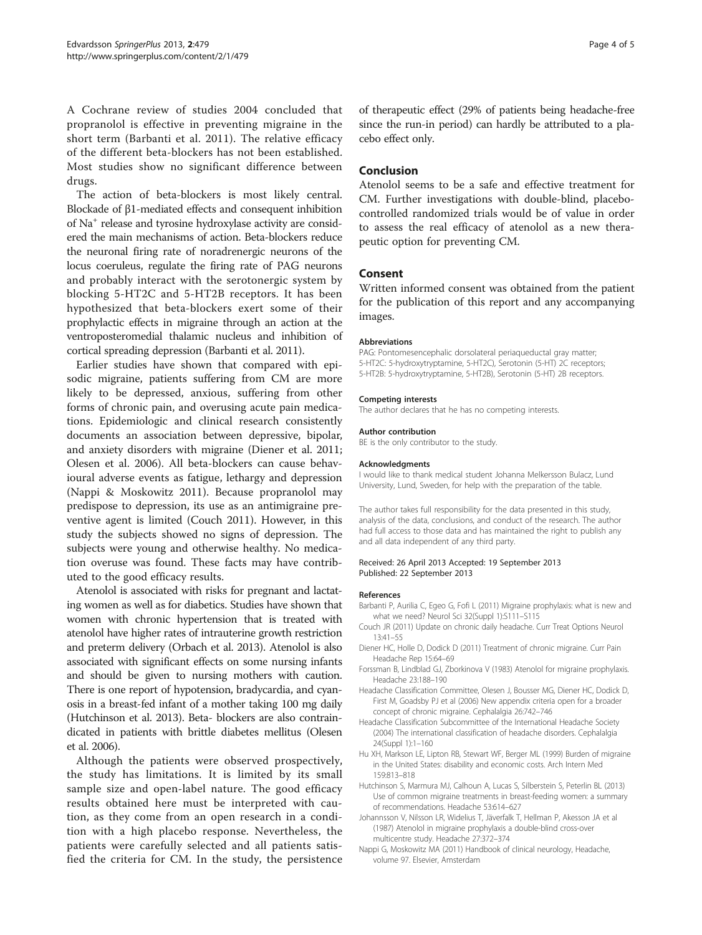<span id="page-3-0"></span>A Cochrane review of studies 2004 concluded that propranolol is effective in preventing migraine in the short term (Barbanti et al. 2011). The relative efficacy of the different beta-blockers has not been established. Most studies show no significant difference between drugs.

The action of beta-blockers is most likely central. Blockade of β1-mediated effects and consequent inhibition of Na+ release and tyrosine hydroxylase activity are considered the main mechanisms of action. Beta-blockers reduce the neuronal firing rate of noradrenergic neurons of the locus coeruleus, regulate the firing rate of PAG neurons and probably interact with the serotonergic system by blocking 5-HT2C and 5-HT2B receptors. It has been hypothesized that beta-blockers exert some of their prophylactic effects in migraine through an action at the ventroposteromedial thalamic nucleus and inhibition of cortical spreading depression (Barbanti et al. 2011).

Earlier studies have shown that compared with episodic migraine, patients suffering from CM are more likely to be depressed, anxious, suffering from other forms of chronic pain, and overusing acute pain medications. Epidemiologic and clinical research consistently documents an association between depressive, bipolar, and anxiety disorders with migraine (Diener et al. 2011; Olesen et al. [2006\)](#page-4-0). All beta-blockers can cause behavioural adverse events as fatigue, lethargy and depression (Nappi & Moskowitz 2011). Because propranolol may predispose to depression, its use as an antimigraine preventive agent is limited (Couch 2011). However, in this study the subjects showed no signs of depression. The subjects were young and otherwise healthy. No medication overuse was found. These facts may have contributed to the good efficacy results.

Atenolol is associated with risks for pregnant and lactating women as well as for diabetics. Studies have shown that women with chronic hypertension that is treated with atenolol have higher rates of intrauterine growth restriction and preterm delivery (Orbach et al. [2013](#page-4-0)). Atenolol is also associated with significant effects on some nursing infants and should be given to nursing mothers with caution. There is one report of hypotension, bradycardia, and cyanosis in a breast-fed infant of a mother taking 100 mg daily (Hutchinson et al. 2013). Beta- blockers are also contraindicated in patients with brittle diabetes mellitus (Olesen et al. [2006\)](#page-4-0).

Although the patients were observed prospectively, the study has limitations. It is limited by its small sample size and open-label nature. The good efficacy results obtained here must be interpreted with caution, as they come from an open research in a condition with a high placebo response. Nevertheless, the patients were carefully selected and all patients satisfied the criteria for CM. In the study, the persistence of therapeutic effect (29% of patients being headache-free since the run-in period) can hardly be attributed to a placebo effect only.

## Conclusion

Atenolol seems to be a safe and effective treatment for CM. Further investigations with double-blind, placebocontrolled randomized trials would be of value in order to assess the real efficacy of atenolol as a new therapeutic option for preventing CM.

#### Consent

Written informed consent was obtained from the patient for the publication of this report and any accompanying images.

#### Abbreviations

PAG: Pontomesencephalic dorsolateral periaqueductal gray matter; 5-HT2C: 5-hydroxytryptamine, 5-HT2C), Serotonin (5-HT) 2C receptors; 5-HT2B: 5-hydroxytryptamine, 5-HT2B), Serotonin (5-HT) 2B receptors.

#### Competing interests

The author declares that he has no competing interests.

#### Author contribution

BE is the only contributor to the study.

#### Acknowledgments

I would like to thank medical student Johanna Melkersson Bulacz, Lund University, Lund, Sweden, for help with the preparation of the table.

The author takes full responsibility for the data presented in this study, analysis of the data, conclusions, and conduct of the research. The author had full access to those data and has maintained the right to publish any and all data independent of any third party.

#### Received: 26 April 2013 Accepted: 19 September 2013 Published: 22 September 2013

#### References

- Barbanti P, Aurilia C, Egeo G, Fofi L (2011) Migraine prophylaxis: what is new and what we need? Neurol Sci 32(Suppl 1):S111–S115
- Couch JR (2011) Update on chronic daily headache. Curr Treat Options Neurol 13:41–55
- Diener HC, Holle D, Dodick D (2011) Treatment of chronic migraine. Curr Pain Headache Rep 15:64–69
- Forssman B, Lindblad GJ, Zborkinova V (1983) Atenolol for migraine prophylaxis. Headache 23:188–190
- Headache Classification Committee, Olesen J, Bousser MG, Diener HC, Dodick D, First M, Goadsby PJ et al (2006) New appendix criteria open for a broader concept of chronic migraine. Cephalalgia 26:742–746
- Headache Classification Subcommittee of the International Headache Society (2004) The international classification of headache disorders. Cephalalgia 24(Suppl 1):1–160
- Hu XH, Markson LE, Lipton RB, Stewart WF, Berger ML (1999) Burden of migraine in the United States: disability and economic costs. Arch Intern Med 159:813–818
- Hutchinson S, Marmura MJ, Calhoun A, Lucas S, Silberstein S, Peterlin BL (2013) Use of common migraine treatments in breast-feeding women: a summary of recommendations. Headache 53:614–627
- Johannsson V, Nilsson LR, Widelius T, Jäverfalk T, Hellman P, Akesson JA et al (1987) Atenolol in migraine prophylaxis a double-blind cross-over multicentre study. Headache 27:372–374
- Nappi G, Moskowitz MA (2011) Handbook of clinical neurology, Headache, volume 97. Elsevier, Amsterdam